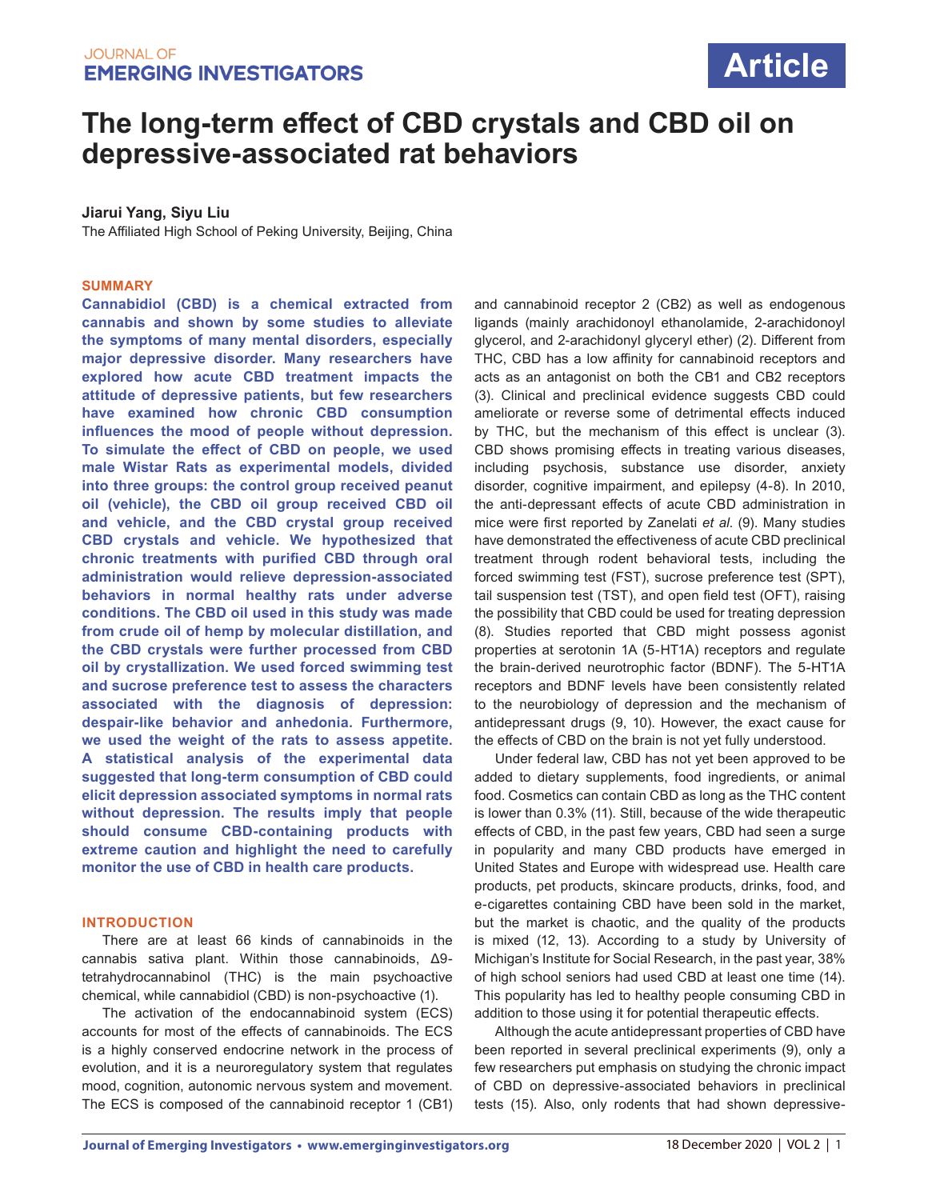

# **The long-term effect of CBD crystals and CBD oil on depressive-associated rat behaviors**

## **Jiarui Yang, Siyu Liu**

The Affiliated High School of Peking University, Beijing, China

#### **SUMMARY**

**Cannabidiol (CBD) is a chemical extracted from cannabis and shown by some studies to alleviate the symptoms of many mental disorders, especially major depressive disorder. Many researchers have explored how acute CBD treatment impacts the attitude of depressive patients, but few researchers have examined how chronic CBD consumption influences the mood of people without depression. To simulate the effect of CBD on people, we used male Wistar Rats as experimental models, divided into three groups: the control group received peanut oil (vehicle), the CBD oil group received CBD oil and vehicle, and the CBD crystal group received CBD crystals and vehicle. We hypothesized that chronic treatments with purified CBD through oral administration would relieve depression-associated behaviors in normal healthy rats under adverse conditions. The CBD oil used in this study was made from crude oil of hemp by molecular distillation, and the CBD crystals were further processed from CBD oil by crystallization. We used forced swimming test and sucrose preference test to assess the characters associated with the diagnosis of depression: despair-like behavior and anhedonia. Furthermore, we used the weight of the rats to assess appetite. A statistical analysis of the experimental data suggested that long-term consumption of CBD could elicit depression associated symptoms in normal rats without depression. The results imply that people should consume CBD-containing products with extreme caution and highlight the need to carefully monitor the use of CBD in health care products.** 

#### **INTRODUCTION**

There are at least 66 kinds of cannabinoids in the cannabis sativa plant. Within those cannabinoids, Δ9 tetrahydrocannabinol (THC) is the main psychoactive chemical, while cannabidiol (CBD) is non-psychoactive (1).

The activation of the endocannabinoid system (ECS) accounts for most of the effects of cannabinoids. The ECS is a highly conserved endocrine network in the process of evolution, and it is a neuroregulatory system that regulates mood, cognition, autonomic nervous system and movement. The ECS is composed of the cannabinoid receptor 1 (CB1) and cannabinoid receptor 2 (CB2) as well as endogenous ligands (mainly arachidonoyl ethanolamide, 2-arachidonoyl glycerol, and 2-arachidonyl glyceryl ether) (2). Different from THC, CBD has a low affinity for cannabinoid receptors and acts as an antagonist on both the CB1 and CB2 receptors (3). Clinical and preclinical evidence suggests CBD could ameliorate or reverse some of detrimental effects induced by THC, but the mechanism of this effect is unclear (3). CBD shows promising effects in treating various diseases, including psychosis, substance use disorder, anxiety disorder, cognitive impairment, and epilepsy (4-8). In 2010, the anti-depressant effects of acute CBD administration in mice were first reported by Zanelati *et al*. (9). Many studies have demonstrated the effectiveness of acute CBD preclinical treatment through rodent behavioral tests, including the forced swimming test (FST), sucrose preference test (SPT), tail suspension test (TST), and open field test (OFT), raising the possibility that CBD could be used for treating depression (8). Studies reported that CBD might possess agonist properties at serotonin 1A (5-HT1A) receptors and regulate the brain-derived neurotrophic factor (BDNF). The 5-HT1A receptors and BDNF levels have been consistently related to the neurobiology of depression and the mechanism of antidepressant drugs (9, 10). However, the exact cause for the effects of CBD on the brain is not yet fully understood.

Under federal law, CBD has not yet been approved to be added to dietary supplements, food ingredients, or animal food. Cosmetics can contain CBD as long as the THC content is lower than 0.3% (11). Still, because of the wide therapeutic effects of CBD, in the past few years, CBD had seen a surge in popularity and many CBD products have emerged in United States and Europe with widespread use. Health care products, pet products, skincare products, drinks, food, and e-cigarettes containing CBD have been sold in the market, but the market is chaotic, and the quality of the products is mixed (12, 13). According to a study by University of Michigan's Institute for Social Research, in the past year, 38% of high school seniors had used CBD at least one time (14). This popularity has led to healthy people consuming CBD in addition to those using it for potential therapeutic effects.

Although the acute antidepressant properties of CBD have been reported in several preclinical experiments (9), only a few researchers put emphasis on studying the chronic impact of CBD on depressive-associated behaviors in preclinical tests (15). Also, only rodents that had shown depressive-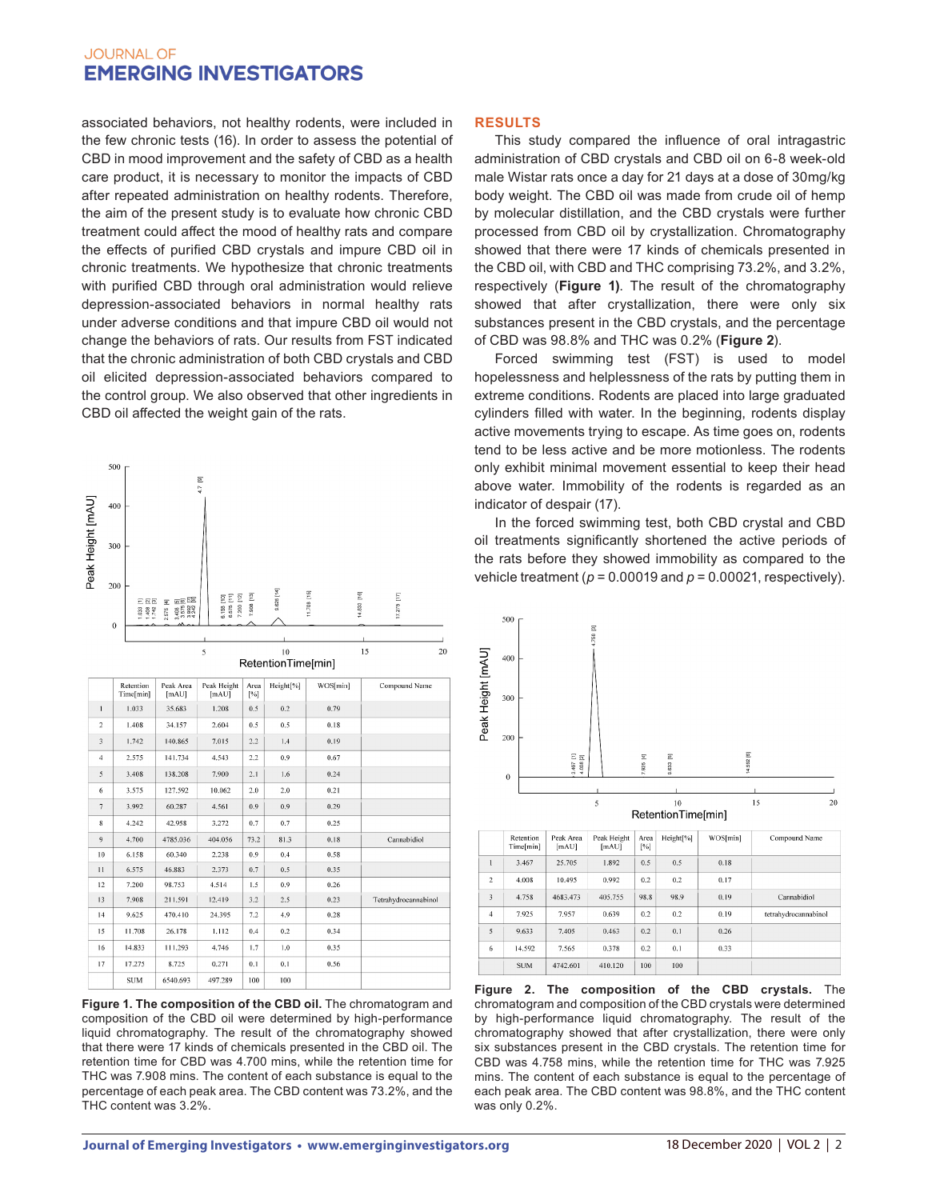associated behaviors, not healthy rodents, were included in the few chronic tests (16). In order to assess the potential of CBD in mood improvement and the safety of CBD as a health care product, it is necessary to monitor the impacts of CBD after repeated administration on healthy rodents. Therefore, the aim of the present study is to evaluate how chronic CBD treatment could affect the mood of healthy rats and compare the effects of purified CBD crystals and impure CBD oil in chronic treatments. We hypothesize that chronic treatments with purified CBD through oral administration would relieve depression-associated behaviors in normal healthy rats under adverse conditions and that impure CBD oil would not change the behaviors of rats. Our results from FST indicated that the chronic administration of both CBD crystals and CBD oil elicited depression-associated behaviors compared to the control group. We also observed that other ingredients in CBD oil affected the weight gain of the rats.



**Figure 1. The composition of the CBD oil.** The chromatogram and composition of the CBD oil were determined by high-performance liquid chromatography. The result of the chromatography showed that there were 17 kinds of chemicals presented in the CBD oil. The retention time for CBD was 4.700 mins, while the retention time for THC was 7.908 mins. The content of each substance is equal to the percentage of each peak area. The CBD content was 73.2%, and the THC content was 3.2%.

## **RESULTS**

This study compared the influence of oral intragastric administration of CBD crystals and CBD oil on 6-8 week-old male Wistar rats once a day for 21 days at a dose of 30mg/kg body weight. The CBD oil was made from crude oil of hemp by molecular distillation, and the CBD crystals were further processed from CBD oil by crystallization. Chromatography showed that there were 17 kinds of chemicals presented in the CBD oil, with CBD and THC comprising 73.2%, and 3.2%, respectively (**Figure 1)**. The result of the chromatography showed that after crystallization, there were only six substances present in the CBD crystals, and the percentage of CBD was 98.8% and THC was 0.2% (**Figure 2**).

Forced swimming test (FST) is used to model hopelessness and helplessness of the rats by putting them in extreme conditions. Rodents are placed into large graduated cylinders filled with water. In the beginning, rodents display active movements trying to escape. As time goes on, rodents tend to be less active and be more motionless. The rodents only exhibit minimal movement essential to keep their head above water. Immobility of the rodents is regarded as an indicator of despair (17).

In the forced swimming test, both CBD crystal and CBD oil treatments significantly shortened the active periods of the rats before they showed immobility as compared to the vehicle treatment (*p* = 0.00019 and *p* = 0.00021, respectively).



|                | Retention<br>Time[min] | Peak Area<br>[mAU] | Peak Height<br>[MAU] | Area<br>[%] | Height <sup>[%]</sup> | WOS[min] | Compound Name        |
|----------------|------------------------|--------------------|----------------------|-------------|-----------------------|----------|----------------------|
| T              | 3.467                  | 25.705             | 1.892                | 0.5         | 0.5                   | 0.18     |                      |
| $\overline{c}$ | 4.008                  | 10.495             | 0.992                | 0.2         | 0.2                   | 0.17     |                      |
| 3              | 4.758                  | 4683.473           | 405.755              | 98.8        | 98.9                  | 0.19     | Cannabidiol          |
| $\overline{4}$ | 7.925                  | 7.957              | 0.639                | 0.2         | 0.2                   | 0.19     | tetrahydrocannabinol |
| 5              | 9.633                  | 7.405              | 0.463                | 0.2         | 0.1                   | 0.26     |                      |
| 6              | 14.592                 | 7.565              | 0.378                | 0.2         | 0.1                   | 0.33     |                      |
|                | <b>SUM</b>             | 4742.601           | 410.120              | 100         | 100                   |          |                      |

**Figure 2. The composition of the CBD crystals.** The chromatogram and composition of the CBD crystals were determined by high-performance liquid chromatography. The result of the chromatography showed that after crystallization, there were only six substances present in the CBD crystals. The retention time for CBD was 4.758 mins, while the retention time for THC was 7.925 mins. The content of each substance is equal to the percentage of each peak area. The CBD content was 98.8%, and the THC content was only 0.2%.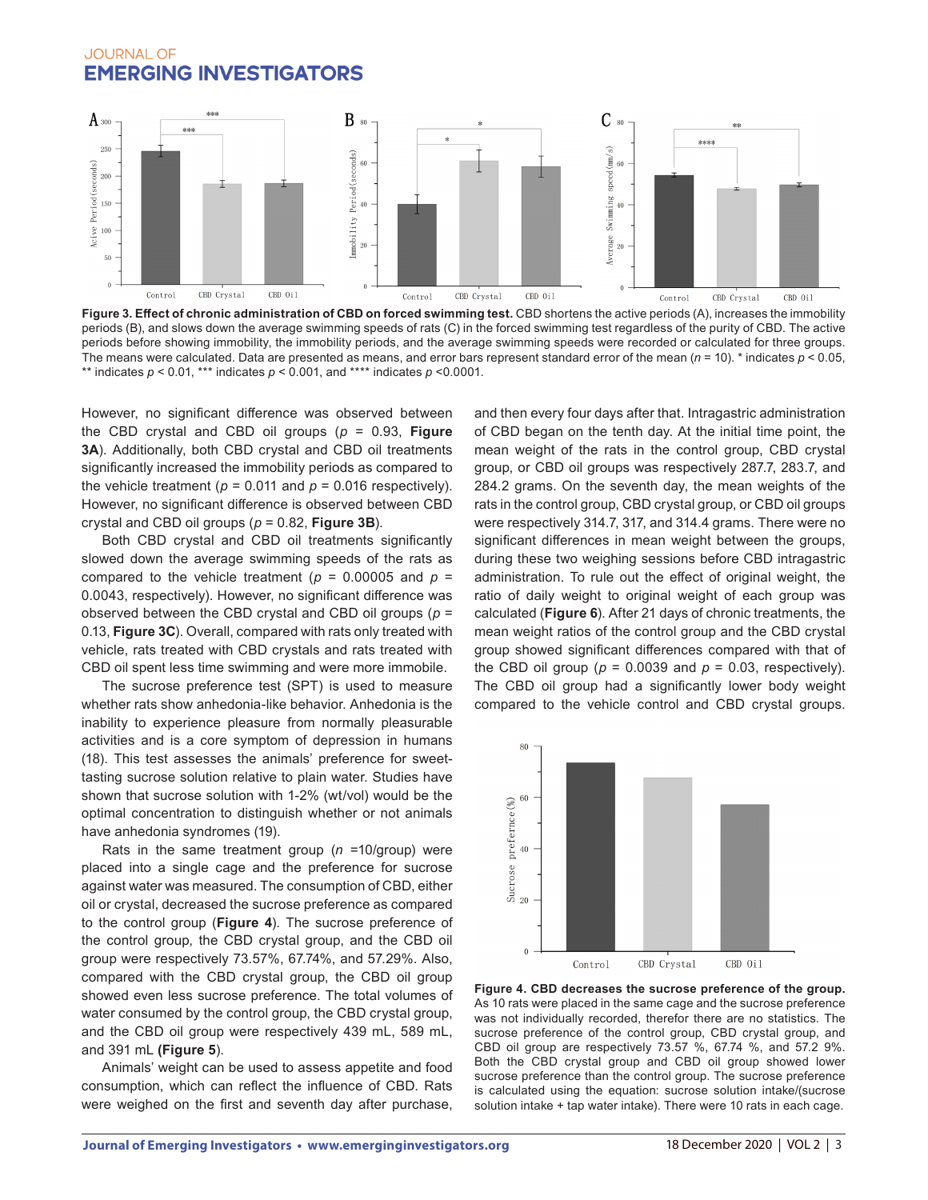

Figure 3. Effect of chronic administration of CBD on forced swimming test. CBD shortens the active periods (A), increases the immobility periods (B), and slows down the average swimming speeds of rats (C) in the forced swimming test regardless of the purity of CBD. The active periods before showing immobility, the immobility periods, and the average swimming speeds were recorded or calculated for three groups. The means were calculated. Data are presented as means, and error bars represent standard error of the mean (*n* = 10). \* indicates *p* < 0.05, \*\* indicates *p* < 0.01, \*\*\* indicates *p* < 0.001, and \*\*\*\* indicates *p* <0.0001.

However, no significant difference was observed between the CBD crystal and CBD oil groups (*p* = 0.93, **Figure 3A**). Additionally, both CBD crystal and CBD oil treatments significantly increased the immobility periods as compared to the vehicle treatment ( $p = 0.011$  and  $p = 0.016$  respectively). However, no significant difference is observed between CBD crystal and CBD oil groups (*p* = 0.82, **Figure 3B**).

Both CBD crystal and CBD oil treatments significantly slowed down the average swimming speeds of the rats as compared to the vehicle treatment ( $p = 0.00005$  and  $p =$ 0.0043, respectively). However, no significant difference was observed between the CBD crystal and CBD oil groups (*p* = 0.13, **Figure 3C**). Overall, compared with rats only treated with vehicle, rats treated with CBD crystals and rats treated with CBD oil spent less time swimming and were more immobile.

The sucrose preference test (SPT) is used to measure whether rats show anhedonia-like behavior. Anhedonia is the inability to experience pleasure from normally pleasurable activities and is a core symptom of depression in humans (18). This test assesses the animals' preference for sweettasting sucrose solution relative to plain water. Studies have shown that sucrose solution with 1-2% (wt/vol) would be the optimal concentration to distinguish whether or not animals have anhedonia syndromes (19).

Rats in the same treatment group (*n* =10/group) were placed into a single cage and the preference for sucrose against water was measured. The consumption of CBD, either oil or crystal, decreased the sucrose preference as compared to the control group (**Figure 4**). The sucrose preference of the control group, the CBD crystal group, and the CBD oil group were respectively 73.57%, 67.74%, and 57.29%. Also, compared with the CBD crystal group, the CBD oil group showed even less sucrose preference. The total volumes of water consumed by the control group, the CBD crystal group, and the CBD oil group were respectively 439 mL, 589 mL, and 391 mL **(Figure 5**).

Animals' weight can be used to assess appetite and food consumption, which can reflect the influence of CBD. Rats were weighed on the first and seventh day after purchase,

and then every four days after that. Intragastric administration of CBD began on the tenth day. At the initial time point, the mean weight of the rats in the control group, CBD crystal group, or CBD oil groups was respectively 287.7, 283.7, and 284.2 grams. On the seventh day, the mean weights of the rats in the control group, CBD crystal group, or CBD oil groups were respectively 314.7, 317, and 314.4 grams. There were no significant differences in mean weight between the groups, during these two weighing sessions before CBD intragastric administration. To rule out the effect of original weight, the ratio of daily weight to original weight of each group was calculated (**Figure 6**). After 21 days of chronic treatments, the mean weight ratios of the control group and the CBD crystal group showed significant differences compared with that of the CBD oil group ( $p = 0.0039$  and  $p = 0.03$ , respectively). The CBD oil group had a significantly lower body weight compared to the vehicle control and CBD crystal groups.



**Figure 4. CBD decreases the sucrose preference of the group.**  As 10 rats were placed in the same cage and the sucrose preference was not individually recorded, therefor there are no statistics. The sucrose preference of the control group, CBD crystal group, and CBD oil group are respectively 73.57 %, 67.74 %, and 57.2 9%. Both the CBD crystal group and CBD oil group showed lower sucrose preference than the control group. The sucrose preference is calculated using the equation: sucrose solution intake/(sucrose solution intake + tap water intake). There were 10 rats in each cage.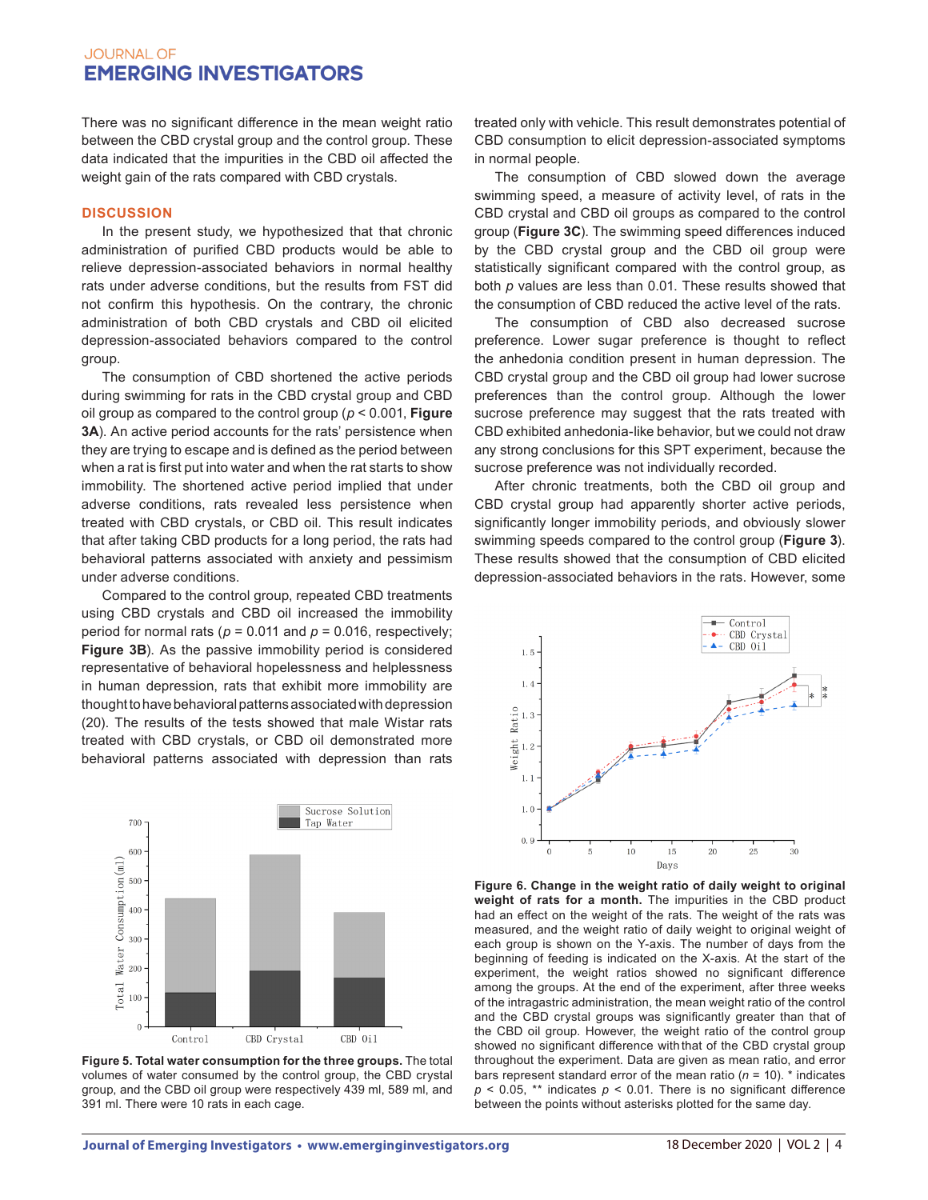There was no significant difference in the mean weight ratio between the CBD crystal group and the control group. These data indicated that the impurities in the CBD oil affected the weight gain of the rats compared with CBD crystals.

### **DISCUSSION**

In the present study, we hypothesized that that chronic administration of purified CBD products would be able to relieve depression-associated behaviors in normal healthy rats under adverse conditions, but the results from FST did not confirm this hypothesis. On the contrary, the chronic administration of both CBD crystals and CBD oil elicited depression-associated behaviors compared to the control group.

The consumption of CBD shortened the active periods during swimming for rats in the CBD crystal group and CBD oil group as compared to the control group (*p* < 0.001, **Figure 3A**). An active period accounts for the rats' persistence when they are trying to escape and is defined as the period between when a rat is first put into water and when the rat starts to show immobility. The shortened active period implied that under adverse conditions, rats revealed less persistence when treated with CBD crystals, or CBD oil. This result indicates that after taking CBD products for a long period, the rats had behavioral patterns associated with anxiety and pessimism under adverse conditions.

Compared to the control group, repeated CBD treatments using CBD crystals and CBD oil increased the immobility period for normal rats ( $p = 0.011$  and  $p = 0.016$ , respectively; **Figure 3B**). As the passive immobility period is considered representative of behavioral hopelessness and helplessness in human depression, rats that exhibit more immobility are thought to have behavioral patterns associated with depression (20). The results of the tests showed that male Wistar rats treated with CBD crystals, or CBD oil demonstrated more behavioral patterns associated with depression than rats



**Figure 5. Total water consumption for the three groups.** The total volumes of water consumed by the control group, the CBD crystal group, and the CBD oil group were respectively 439 ml, 589 ml, and 391 ml. There were 10 rats in each cage.

treated only with vehicle. This result demonstrates potential of CBD consumption to elicit depression-associated symptoms in normal people.

The consumption of CBD slowed down the average swimming speed, a measure of activity level, of rats in the CBD crystal and CBD oil groups as compared to the control group (**Figure 3C**). The swimming speed differences induced by the CBD crystal group and the CBD oil group were statistically significant compared with the control group, as both *p* values are less than 0.01. These results showed that the consumption of CBD reduced the active level of the rats.

The consumption of CBD also decreased sucrose preference. Lower sugar preference is thought to reflect the anhedonia condition present in human depression. The CBD crystal group and the CBD oil group had lower sucrose preferences than the control group. Although the lower sucrose preference may suggest that the rats treated with CBD exhibited anhedonia-like behavior, but we could not draw any strong conclusions for this SPT experiment, because the sucrose preference was not individually recorded.

After chronic treatments, both the CBD oil group and CBD crystal group had apparently shorter active periods, significantly longer immobility periods, and obviously slower swimming speeds compared to the control group (**Figure 3**). These results showed that the consumption of CBD elicited depression-associated behaviors in the rats. However, some



**Figure 6. Change in the weight ratio of daily weight to original weight of rats for a month.** The impurities in the CBD product had an effect on the weight of the rats. The weight of the rats was measured, and the weight ratio of daily weight to original weight of each group is shown on the Y-axis. The number of days from the beginning of feeding is indicated on the X-axis. At the start of the experiment, the weight ratios showed no significant difference among the groups. At the end of the experiment, after three weeks of the intragastric administration, the mean weight ratio of the control and the CBD crystal groups was significantly greater than that of the CBD oil group. However, the weight ratio of the control group showed no significant difference withthat of the CBD crystal group throughout the experiment. Data are given as mean ratio, and error bars represent standard error of the mean ratio  $(n = 10)$ . \* indicates  $p$  < 0.05, \*\* indicates  $p$  < 0.01. There is no significant difference between the points without asterisks plotted for the same day.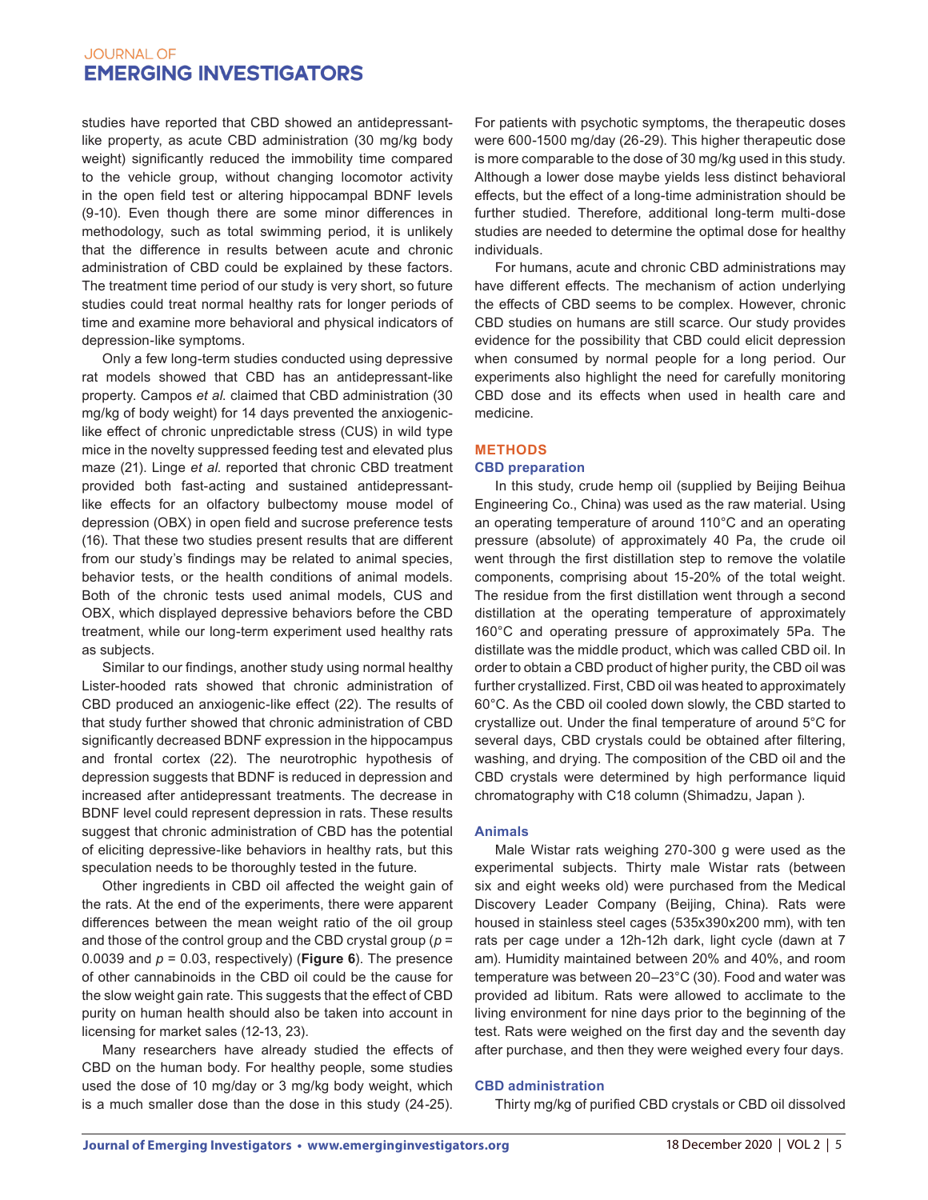studies have reported that CBD showed an antidepressantlike property, as acute CBD administration (30 mg/kg body weight) significantly reduced the immobility time compared to the vehicle group, without changing locomotor activity in the open field test or altering hippocampal BDNF levels (9-10). Even though there are some minor differences in methodology, such as total swimming period, it is unlikely that the difference in results between acute and chronic administration of CBD could be explained by these factors. The treatment time period of our study is very short, so future studies could treat normal healthy rats for longer periods of time and examine more behavioral and physical indicators of depression-like symptoms.

Only a few long-term studies conducted using depressive rat models showed that CBD has an antidepressant-like property. Campos *et al*. claimed that CBD administration (30 mg/kg of body weight) for 14 days prevented the anxiogeniclike effect of chronic unpredictable stress (CUS) in wild type mice in the novelty suppressed feeding test and elevated plus maze (21). Linge *et al*. reported that chronic CBD treatment provided both fast-acting and sustained antidepressantlike effects for an olfactory bulbectomy mouse model of depression (OBX) in open field and sucrose preference tests (16). That these two studies present results that are different from our study's findings may be related to animal species, behavior tests, or the health conditions of animal models. Both of the chronic tests used animal models, CUS and OBX, which displayed depressive behaviors before the CBD treatment, while our long-term experiment used healthy rats as subjects.

Similar to our findings, another study using normal healthy Lister-hooded rats showed that chronic administration of CBD produced an anxiogenic-like effect (22). The results of that study further showed that chronic administration of CBD significantly decreased BDNF expression in the hippocampus and frontal cortex (22). The neurotrophic hypothesis of depression suggests that BDNF is reduced in depression and increased after antidepressant treatments. The decrease in BDNF level could represent depression in rats. These results suggest that chronic administration of CBD has the potential of eliciting depressive-like behaviors in healthy rats, but this speculation needs to be thoroughly tested in the future.

Other ingredients in CBD oil affected the weight gain of the rats. At the end of the experiments, there were apparent differences between the mean weight ratio of the oil group and those of the control group and the CBD crystal group (*p* = 0.0039 and  $p = 0.03$ , respectively) (**Figure 6**). The presence of other cannabinoids in the CBD oil could be the cause for the slow weight gain rate. This suggests that the effect of CBD purity on human health should also be taken into account in licensing for market sales (12-13, 23).

Many researchers have already studied the effects of CBD on the human body. For healthy people, some studies used the dose of 10 mg/day or 3 mg/kg body weight, which is a much smaller dose than the dose in this study (24-25).

For patients with psychotic symptoms, the therapeutic doses were 600-1500 mg/day (26-29). This higher therapeutic dose is more comparable to the dose of 30 mg/kg used in this study. Although a lower dose maybe yields less distinct behavioral effects, but the effect of a long-time administration should be further studied. Therefore, additional long-term multi-dose studies are needed to determine the optimal dose for healthy individuals.

For humans, acute and chronic CBD administrations may have different effects. The mechanism of action underlying the effects of CBD seems to be complex. However, chronic CBD studies on humans are still scarce. Our study provides evidence for the possibility that CBD could elicit depression when consumed by normal people for a long period. Our experiments also highlight the need for carefully monitoring CBD dose and its effects when used in health care and medicine.

## **METHODS**

### **CBD preparation**

In this study, crude hemp oil (supplied by Beijing Beihua Engineering Co., China) was used as the raw material. Using an operating temperature of around 110°C and an operating pressure (absolute) of approximately 40 Pa, the crude oil went through the first distillation step to remove the volatile components, comprising about 15-20% of the total weight. The residue from the first distillation went through a second distillation at the operating temperature of approximately 160°C and operating pressure of approximately 5Pa. The distillate was the middle product, which was called CBD oil. In order to obtain a CBD product of higher purity, the CBD oil was further crystallized. First, CBD oil was heated to approximately 60°C. As the CBD oil cooled down slowly, the CBD started to crystallize out. Under the final temperature of around 5°C for several days, CBD crystals could be obtained after filtering, washing, and drying. The composition of the CBD oil and the CBD crystals were determined by high performance liquid chromatography with C18 column (Shimadzu, Japan ).

### **Animals**

Male Wistar rats weighing 270-300 g were used as the experimental subjects. Thirty male Wistar rats (between six and eight weeks old) were purchased from the Medical Discovery Leader Company (Beijing, China). Rats were housed in stainless steel cages (535x390x200 mm), with ten rats per cage under a 12h-12h dark, light cycle (dawn at 7 am). Humidity maintained between 20% and 40%, and room temperature was between 20–23°C (30). Food and water was provided ad libitum. Rats were allowed to acclimate to the living environment for nine days prior to the beginning of the test. Rats were weighed on the first day and the seventh day after purchase, and then they were weighed every four days.

## **CBD administration**

Thirty mg/kg of purified CBD crystals or CBD oil dissolved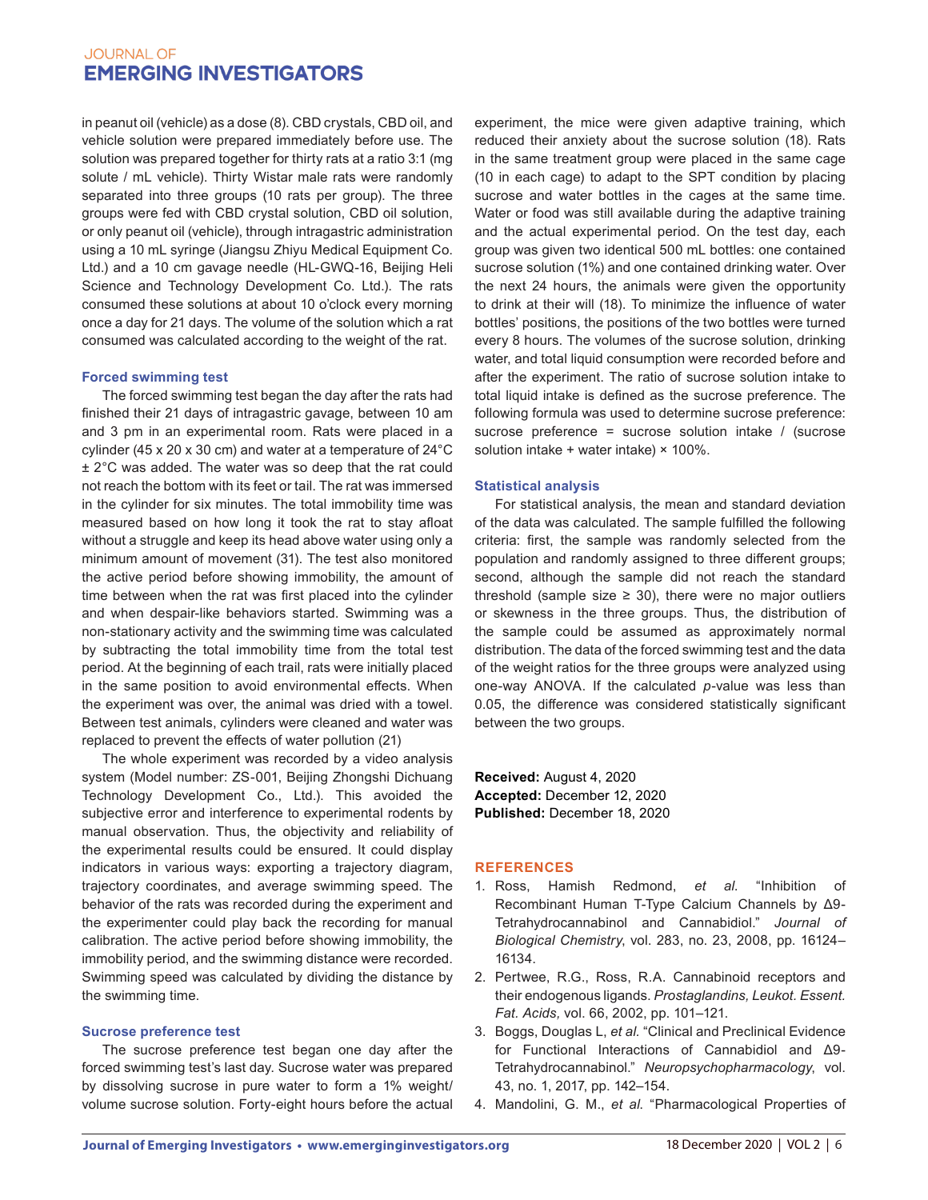in peanut oil (vehicle) as a dose (8). CBD crystals, CBD oil, and vehicle solution were prepared immediately before use. The solution was prepared together for thirty rats at a ratio 3:1 (mg solute / mL vehicle). Thirty Wistar male rats were randomly separated into three groups (10 rats per group). The three groups were fed with CBD crystal solution, CBD oil solution, or only peanut oil (vehicle), through intragastric administration using a 10 mL syringe (Jiangsu Zhiyu Medical Equipment Co. Ltd.) and a 10 cm gavage needle (HL-GWQ-16, Beijing Heli Science and Technology Development Co. Ltd.). The rats consumed these solutions at about 10 o'clock every morning once a day for 21 days. The volume of the solution which a rat consumed was calculated according to the weight of the rat.

### **Forced swimming test**

The forced swimming test began the day after the rats had finished their 21 days of intragastric gavage, between 10 am and 3 pm in an experimental room. Rats were placed in a cylinder (45 x 20 x 30 cm) and water at a temperature of 24°C ± 2°C was added. The water was so deep that the rat could not reach the bottom with its feet or tail. The rat was immersed in the cylinder for six minutes. The total immobility time was measured based on how long it took the rat to stay afloat without a struggle and keep its head above water using only a minimum amount of movement (31). The test also monitored the active period before showing immobility, the amount of time between when the rat was first placed into the cylinder and when despair-like behaviors started. Swimming was a non-stationary activity and the swimming time was calculated by subtracting the total immobility time from the total test period. At the beginning of each trail, rats were initially placed in the same position to avoid environmental effects. When the experiment was over, the animal was dried with a towel. Between test animals, cylinders were cleaned and water was replaced to prevent the effects of water pollution (21)

The whole experiment was recorded by a video analysis system (Model number: ZS-001, Beijing Zhongshi Dichuang Technology Development Co., Ltd.). This avoided the subjective error and interference to experimental rodents by manual observation. Thus, the objectivity and reliability of the experimental results could be ensured. It could display indicators in various ways: exporting a trajectory diagram, trajectory coordinates, and average swimming speed. The behavior of the rats was recorded during the experiment and the experimenter could play back the recording for manual calibration. The active period before showing immobility, the immobility period, and the swimming distance were recorded. Swimming speed was calculated by dividing the distance by the swimming time.

## **Sucrose preference test**

The sucrose preference test began one day after the forced swimming test's last day. Sucrose water was prepared by dissolving sucrose in pure water to form a 1% weight/ volume sucrose solution. Forty-eight hours before the actual experiment, the mice were given adaptive training, which reduced their anxiety about the sucrose solution (18). Rats in the same treatment group were placed in the same cage (10 in each cage) to adapt to the SPT condition by placing sucrose and water bottles in the cages at the same time. Water or food was still available during the adaptive training and the actual experimental period. On the test day, each group was given two identical 500 mL bottles: one contained sucrose solution (1%) and one contained drinking water. Over the next 24 hours, the animals were given the opportunity to drink at their will (18). To minimize the influence of water bottles' positions, the positions of the two bottles were turned every 8 hours. The volumes of the sucrose solution, drinking water, and total liquid consumption were recorded before and after the experiment. The ratio of sucrose solution intake to total liquid intake is defined as the sucrose preference. The following formula was used to determine sucrose preference: sucrose preference = sucrose solution intake / (sucrose solution intake + water intake) × 100%.

## **Statistical analysis**

For statistical analysis, the mean and standard deviation of the data was calculated. The sample fulfilled the following criteria: first, the sample was randomly selected from the population and randomly assigned to three different groups; second, although the sample did not reach the standard threshold (sample size  $\geq$  30), there were no major outliers or skewness in the three groups. Thus, the distribution of the sample could be assumed as approximately normal distribution. The data of the forced swimming test and the data of the weight ratios for the three groups were analyzed using one-way ANOVA. If the calculated *p*-value was less than 0.05, the difference was considered statistically significant between the two groups.

**Received:** August 4, 2020 **Accepted:** December 12, 2020 **Published:** December 18, 2020

## **REFERENCES**

- 1. Ross, Hamish Redmond, *et al*. "Inhibition of Recombinant Human T-Type Calcium Channels by Δ9- Tetrahydrocannabinol and Cannabidiol." *Journal of Biological Chemistry*, vol. 283, no. 23, 2008, pp. 16124– 16134.
- 2. Pertwee, R.G., Ross, R.A. Cannabinoid receptors and their endogenous ligands. *Prostaglandins, Leukot. Essent. Fat. Acids,* vol. 66, 2002, pp. 101–121.
- 3. Boggs, Douglas L, *et al.* "Clinical and Preclinical Evidence for Functional Interactions of Cannabidiol and Δ9- Tetrahydrocannabinol." *Neuropsychopharmacology*, vol. 43, no. 1, 2017, pp. 142–154.
- 4. Mandolini, G. M., *et al*. "Pharmacological Properties of